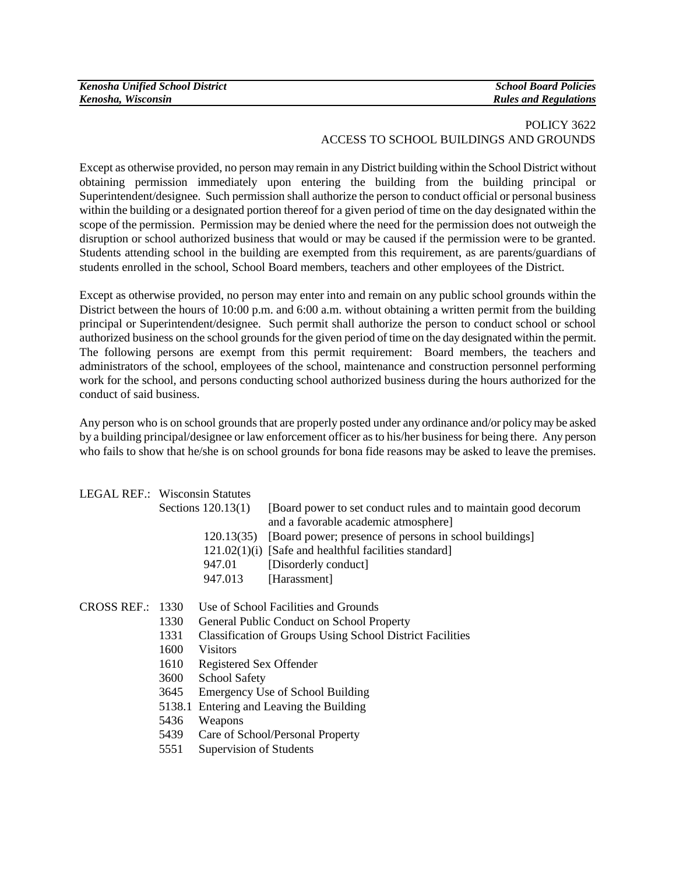| <b>Kenosha Unified School District</b> | <b>School Board Policies</b> |
|----------------------------------------|------------------------------|
| Kenosha, Wisconsin                     | <b>Rules and Regulations</b> |

## POLICY 3622 ACCESS TO SCHOOL BUILDINGS AND GROUNDS

Except as otherwise provided, no person may remain in any District building within the School District without obtaining permission immediately upon entering the building from the building principal or Superintendent/designee. Such permission shall authorize the person to conduct official or personal business within the building or a designated portion thereof for a given period of time on the day designated within the scope of the permission. Permission may be denied where the need for the permission does not outweigh the disruption or school authorized business that would or may be caused if the permission were to be granted. Students attending school in the building are exempted from this requirement, as are parents/guardians of students enrolled in the school, School Board members, teachers and other employees of the District.

Except as otherwise provided, no person may enter into and remain on any public school grounds within the District between the hours of 10:00 p.m. and 6:00 a.m. without obtaining a written permit from the building principal or Superintendent/designee. Such permit shall authorize the person to conduct school or school authorized business on the school grounds for the given period of time on the day designated within the permit. The following persons are exempt from this permit requirement: Board members, the teachers and administrators of the school, employees of the school, maintenance and construction personnel performing work for the school, and persons conducting school authorized business during the hours authorized for the conduct of said business.

Any person who is on school grounds that are properly posted under any ordinance and/or policy may be asked by a building principal/designee or law enforcement officer as to his/her business for being there. Any person who fails to show that he/she is on school grounds for bona fide reasons may be asked to leave the premises.

| <b>LEGAL REF.: Wisconsin Statutes</b> |                                                                   |
|---------------------------------------|-------------------------------------------------------------------|
| Sections $120.13(1)$                  | [Board power to set conduct rules and to maintain good decorum    |
|                                       | and a favorable academic atmosphere]                              |
|                                       | 120.13(35) [Board power; presence of persons in school buildings] |
|                                       | $121.02(1)(i)$ [Safe and healthful facilities standard]           |
| 947.01                                | [Disorderly conduct]                                              |
| 947.013                               | [Harassment]                                                      |
|                                       |                                                                   |
|                                       |                                                                   |

## CROSS REF.: 1330 Use of School Facilities and Grounds

- 1330 General Public Conduct on School Property
- 1331 Classification of Groups Using School District Facilities
- 1600 Visitors
- 1610 Registered Sex Offender
- 3600 School Safety
- 3645 Emergency Use of School Building
- 5138.1 Entering and Leaving the Building
- 5436 Weapons
- 5439 Care of School/Personal Property
- 5551 Supervision of Students